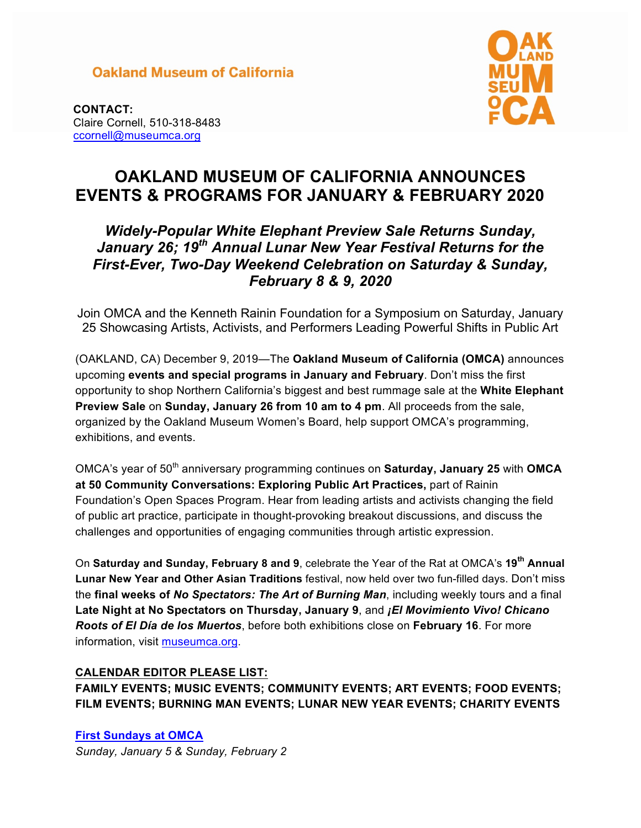## **Oakland Museum of California**



**CONTACT:** Claire Cornell, 510-318-8483 ccornell@museumca.org

# **OAKLAND MUSEUM OF CALIFORNIA ANNOUNCES EVENTS & PROGRAMS FOR JANUARY & FEBRUARY 2020**

## *Widely-Popular White Elephant Preview Sale Returns Sunday, January 26; 19th Annual Lunar New Year Festival Returns for the First-Ever, Two-Day Weekend Celebration on Saturday & Sunday, February 8 & 9, 2020*

Join OMCA and the Kenneth Rainin Foundation for a Symposium on Saturday, January 25 Showcasing Artists, Activists, and Performers Leading Powerful Shifts in Public Art

(OAKLAND, CA) December 9, 2019—The **Oakland Museum of California (OMCA)** announces upcoming **events and special programs in January and February**. Don't miss the first opportunity to shop Northern California's biggest and best rummage sale at the **White Elephant Preview Sale** on **Sunday, January 26 from 10 am to 4 pm**. All proceeds from the sale, organized by the Oakland Museum Women's Board, help support OMCA's programming, exhibitions, and events.

OMCA's year of 50<sup>th</sup> anniversary programming continues on Saturday, January 25 with OMCA **at 50 Community Conversations: Exploring Public Art Practices,** part of Rainin Foundation's Open Spaces Program. Hear from leading artists and activists changing the field of public art practice, participate in thought-provoking breakout discussions, and discuss the challenges and opportunities of engaging communities through artistic expression.

On **Saturday and Sunday, February 8 and 9**, celebrate the Year of the Rat at OMCA's **19th Annual Lunar New Year and Other Asian Traditions** festival, now held over two fun-filled days. Don't miss the **final weeks of** *No Spectators: The Art of Burning Man*, including weekly tours and a final **Late Night at No Spectators on Thursday, January 9**, and *¡El Movimiento Vivo! Chicano Roots of El Día de los Muertos*, before both exhibitions close on **February 16**. For more information, visit museumca.org.

## **CALENDAR EDITOR PLEASE LIST:**

**FAMILY EVENTS; MUSIC EVENTS; COMMUNITY EVENTS; ART EVENTS; FOOD EVENTS; FILM EVENTS; BURNING MAN EVENTS; LUNAR NEW YEAR EVENTS; CHARITY EVENTS**

**First Sundays at OMCA** *Sunday, January 5 & Sunday, February 2*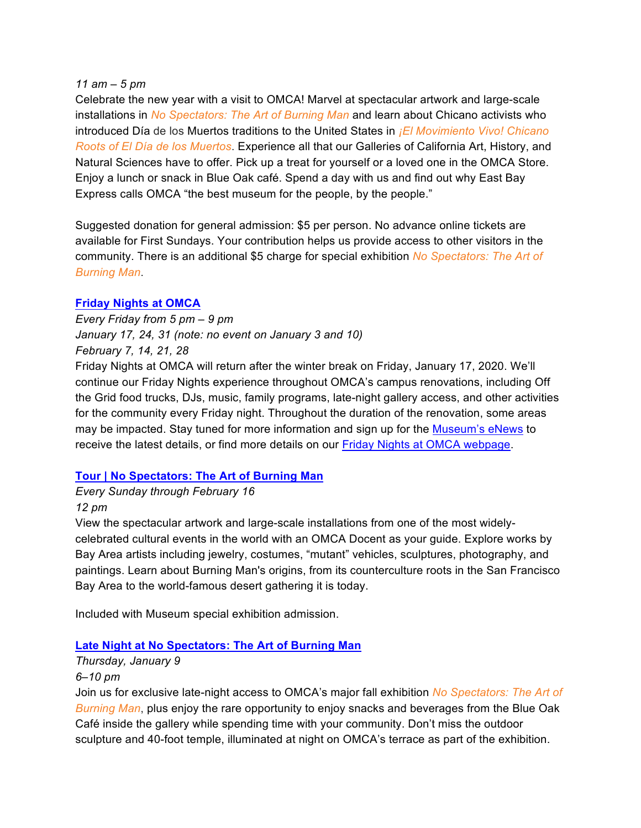#### *11 am – 5 pm*

Celebrate the new year with a visit to OMCA! Marvel at spectacular artwork and large-scale installations in *No Spectators: The Art of Burning Man* and learn about Chicano activists who introduced Día de los Muertos traditions to the United States in *¡El Movimiento Vivo! Chicano Roots of El Día de los Muertos*. Experience all that our Galleries of California Art, History, and Natural Sciences have to offer. Pick up a treat for yourself or a loved one in the OMCA Store. Enjoy a lunch or snack in Blue Oak café. Spend a day with us and find out why East Bay Express calls OMCA "the best museum for the people, by the people."

Suggested donation for general admission: \$5 per person. No advance online tickets are available for First Sundays. Your contribution helps us provide access to other visitors in the community. There is an additional \$5 charge for special exhibition *No Spectators: The Art of Burning Man*.

#### **Friday Nights at OMCA**

*Every Friday from 5 pm – 9 pm January 17, 24, 31 (note: no event on January 3 and 10) February 7, 14, 21, 28*

Friday Nights at OMCA will return after the winter break on Friday, January 17, 2020. We'll continue our Friday Nights experience throughout OMCA's campus renovations, including Off the Grid food trucks, DJs, music, family programs, late-night gallery access, and other activities for the community every Friday night. Throughout the duration of the renovation, some areas may be impacted. Stay tuned for more information and sign up for the Museum's eNews to receive the latest details, or find more details on our Friday Nights at OMCA webpage.

#### **Tour | No Spectators: The Art of Burning Man**

#### *Every Sunday through February 16 12 pm*

View the spectacular artwork and large-scale installations from one of the most widelycelebrated cultural events in the world with an OMCA Docent as your guide. Explore works by Bay Area artists including jewelry, costumes, "mutant" vehicles, sculptures, photography, and paintings. Learn about Burning Man's origins, from its counterculture roots in the San Francisco Bay Area to the world-famous desert gathering it is today.

Included with Museum special exhibition admission.

#### **Late Night at No Spectators: The Art of Burning Man**

#### *Thursday, January 9 6–10 pm*

Join us for exclusive late-night access to OMCA's major fall exhibition *No Spectators: The Art of Burning Man*, plus enjoy the rare opportunity to enjoy snacks and beverages from the Blue Oak Café inside the gallery while spending time with your community. Don't miss the outdoor sculpture and 40-foot temple, illuminated at night on OMCA's terrace as part of the exhibition.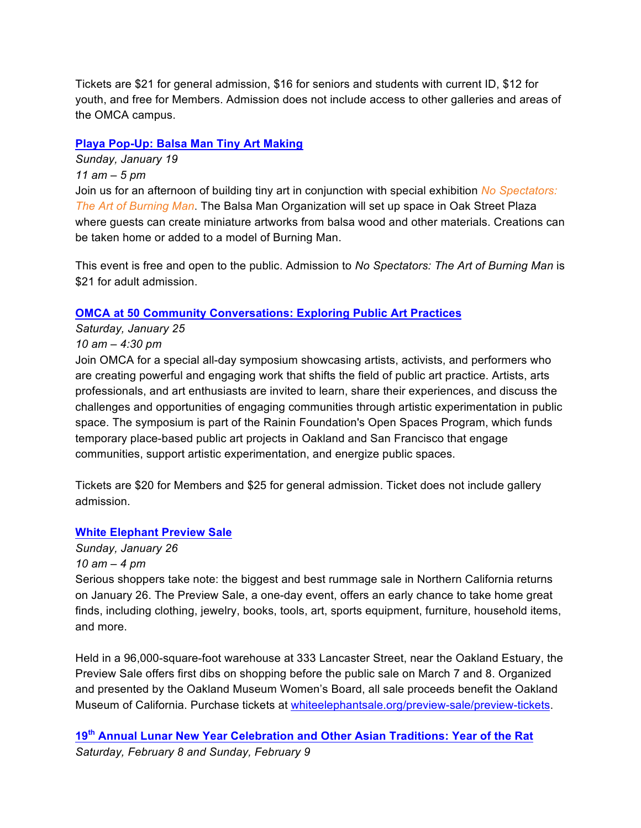Tickets are \$21 for general admission, \$16 for seniors and students with current ID, \$12 for youth, and free for Members. Admission does not include access to other galleries and areas of the OMCA campus.

## **Playa Pop-Up: Balsa Man Tiny Art Making**

*Sunday, January 19 11 am – 5 pm* Join us for an afternoon of building tiny art in conjunction with special exhibition *No Spectators: The Art of Burning Man*. The Balsa Man Organization will set up space in Oak Street Plaza where guests can create miniature artworks from balsa wood and other materials. Creations can be taken home or added to a model of Burning Man.

This event is free and open to the public. Admission to *No Spectators: The Art of Burning Man* is \$21 for adult admission.

## **OMCA at 50 Community Conversations: Exploring Public Art Practices**

## *Saturday, January 25*

## *10 am – 4:30 pm*

Join OMCA for a special all-day symposium showcasing artists, activists, and performers who are creating powerful and engaging work that shifts the field of public art practice. Artists, arts professionals, and art enthusiasts are invited to learn, share their experiences, and discuss the challenges and opportunities of engaging communities through artistic experimentation in public space. The symposium is part of the Rainin Foundation's Open Spaces Program, which funds temporary place-based public art projects in Oakland and San Francisco that engage communities, support artistic experimentation, and energize public spaces.

Tickets are \$20 for Members and \$25 for general admission. Ticket does not include gallery admission.

## **White Elephant Preview Sale**

#### *Sunday, January 26*

## *10 am – 4 pm*

Serious shoppers take note: the biggest and best rummage sale in Northern California returns on January 26. The Preview Sale, a one-day event, offers an early chance to take home great finds, including clothing, jewelry, books, tools, art, sports equipment, furniture, household items, and more.

Held in a 96,000-square-foot warehouse at 333 Lancaster Street, near the Oakland Estuary, the Preview Sale offers first dibs on shopping before the public sale on March 7 and 8. Organized and presented by the Oakland Museum Women's Board, all sale proceeds benefit the Oakland Museum of California. Purchase tickets at whiteelephantsale.org/preview-sale/preview-tickets.

**19th Annual Lunar New Year Celebration and Other Asian Traditions: Year of the Rat** *Saturday, February 8 and Sunday, February 9*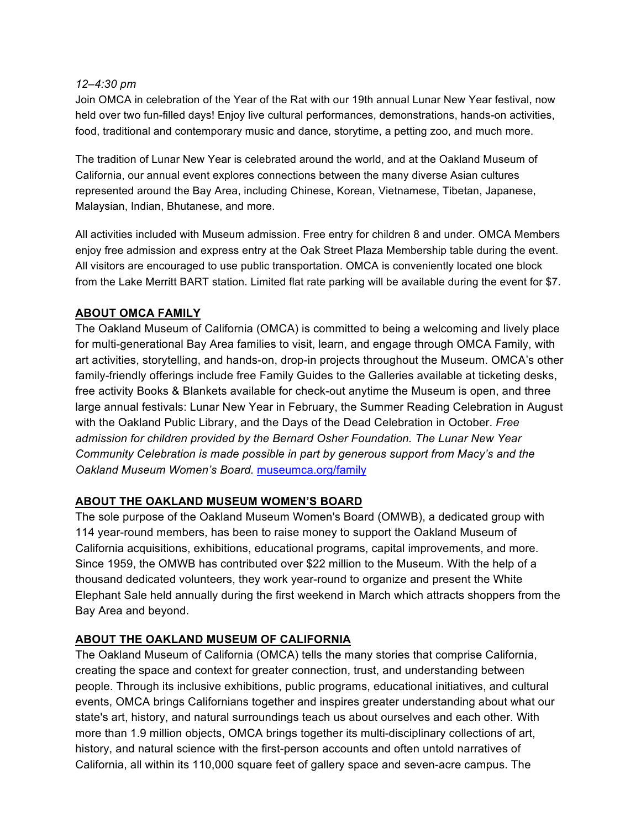#### *12–4:30 pm*

Join OMCA in celebration of the Year of the Rat with our 19th annual Lunar New Year festival, now held over two fun-filled days! Enjoy live cultural performances, demonstrations, hands-on activities, food, traditional and contemporary music and dance, storytime, a petting zoo, and much more.

The tradition of Lunar New Year is celebrated around the world, and at the Oakland Museum of California, our annual event explores connections between the many diverse Asian cultures represented around the Bay Area, including Chinese, Korean, Vietnamese, Tibetan, Japanese, Malaysian, Indian, Bhutanese, and more.

All activities included with Museum admission. Free entry for children 8 and under. OMCA Members enjoy free admission and express entry at the Oak Street Plaza Membership table during the event. All visitors are encouraged to use public transportation. OMCA is conveniently located one block from the Lake Merritt BART station. Limited flat rate parking will be available during the event for \$7.

## **ABOUT OMCA FAMILY**

The Oakland Museum of California (OMCA) is committed to being a welcoming and lively place for multi-generational Bay Area families to visit, learn, and engage through OMCA Family, with art activities, storytelling, and hands-on, drop-in projects throughout the Museum. OMCA's other family-friendly offerings include free Family Guides to the Galleries available at ticketing desks, free activity Books & Blankets available for check-out anytime the Museum is open, and three large annual festivals: Lunar New Year in February, the Summer Reading Celebration in August with the Oakland Public Library, and the Days of the Dead Celebration in October. *Free admission for children provided by the Bernard Osher Foundation. The Lunar New Year Community Celebration is made possible in part by generous support from Macy's and the Oakland Museum Women's Board.* museumca.org/family

#### **ABOUT THE OAKLAND MUSEUM WOMEN'S BOARD**

The sole purpose of the Oakland Museum Women's Board (OMWB), a dedicated group with 114 year-round members, has been to raise money to support the Oakland Museum of California acquisitions, exhibitions, educational programs, capital improvements, and more. Since 1959, the OMWB has contributed over \$22 million to the Museum. With the help of a thousand dedicated volunteers, they work year-round to organize and present the White Elephant Sale held annually during the first weekend in March which attracts shoppers from the Bay Area and beyond.

#### **ABOUT THE OAKLAND MUSEUM OF CALIFORNIA**

The Oakland Museum of California (OMCA) tells the many stories that comprise California, creating the space and context for greater connection, trust, and understanding between people. Through its inclusive exhibitions, public programs, educational initiatives, and cultural events, OMCA brings Californians together and inspires greater understanding about what our state's art, history, and natural surroundings teach us about ourselves and each other. With more than 1.9 million objects, OMCA brings together its multi-disciplinary collections of art, history, and natural science with the first-person accounts and often untold narratives of California, all within its 110,000 square feet of gallery space and seven-acre campus. The